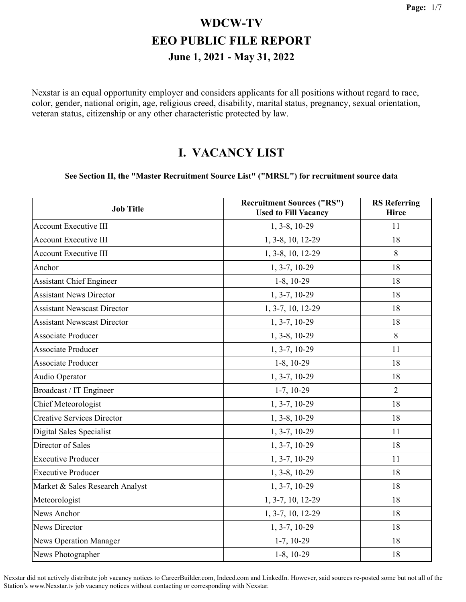Nexstar is an equal opportunity employer and considers applicants for all positions without regard to race, color, gender, national origin, age, religious creed, disability, marital status, pregnancy, sexual orientation, veteran status, citizenship or any other characteristic protected by law.

#### **I. VACANCY LIST**

#### **See Section II, the "Master Recruitment Source List" ("MRSL") for recruitment source data**

| <b>Job Title</b>                   | <b>Recruitment Sources ("RS")</b><br><b>Used to Fill Vacancy</b> | <b>RS</b> Referring<br><b>Hiree</b> |
|------------------------------------|------------------------------------------------------------------|-------------------------------------|
| <b>Account Executive III</b>       | 1, 3-8, 10-29                                                    | 11                                  |
| <b>Account Executive III</b>       | 1, 3-8, 10, 12-29                                                | 18                                  |
| <b>Account Executive III</b>       | 1, 3-8, 10, 12-29                                                | 8                                   |
| Anchor                             | 1, 3-7, 10-29                                                    | 18                                  |
| <b>Assistant Chief Engineer</b>    | $1-8$ , 10-29                                                    | 18                                  |
| <b>Assistant News Director</b>     | 1, 3-7, 10-29                                                    | 18                                  |
| <b>Assistant Newscast Director</b> | 1, 3-7, 10, 12-29                                                | 18                                  |
| <b>Assistant Newscast Director</b> | 1, 3-7, 10-29                                                    | 18                                  |
| <b>Associate Producer</b>          | 1, 3-8, 10-29                                                    | 8                                   |
| <b>Associate Producer</b>          | 1, 3-7, 10-29                                                    | 11                                  |
| <b>Associate Producer</b>          | $1-8$ , $10-29$                                                  | 18                                  |
| Audio Operator                     | 1, 3-7, 10-29                                                    | 18                                  |
| Broadcast / IT Engineer            | $1-7, 10-29$                                                     | $\overline{2}$                      |
| <b>Chief Meteorologist</b>         | 1, 3-7, 10-29                                                    | 18                                  |
| <b>Creative Services Director</b>  | 1, 3-8, 10-29                                                    | 18                                  |
| Digital Sales Specialist           | $1, 3-7, 10-29$                                                  | 11                                  |
| Director of Sales                  | 1, 3-7, 10-29                                                    | 18                                  |
| <b>Executive Producer</b>          | 1, 3-7, 10-29                                                    | 11                                  |
| <b>Executive Producer</b>          | 1, 3-8, 10-29                                                    | 18                                  |
| Market & Sales Research Analyst    | $1, 3-7, 10-29$                                                  | 18                                  |
| Meteorologist                      | 1, 3-7, 10, 12-29                                                | 18                                  |
| <b>News Anchor</b>                 | 1, 3-7, 10, 12-29                                                | 18                                  |
| <b>News Director</b>               | $1, 3-7, 10-29$                                                  | 18                                  |
| <b>News Operation Manager</b>      | $1-7, 10-29$                                                     | 18                                  |
| News Photographer                  | $1-8$ , $10-29$                                                  | 18                                  |

Nexstar did not actively distribute job vacancy notices to CareerBuilder.com, Indeed.com and LinkedIn. However, said sources re-posted some but not all of the Station's www.Nexstar.tv job vacancy notices without contacting or corresponding with Nexstar.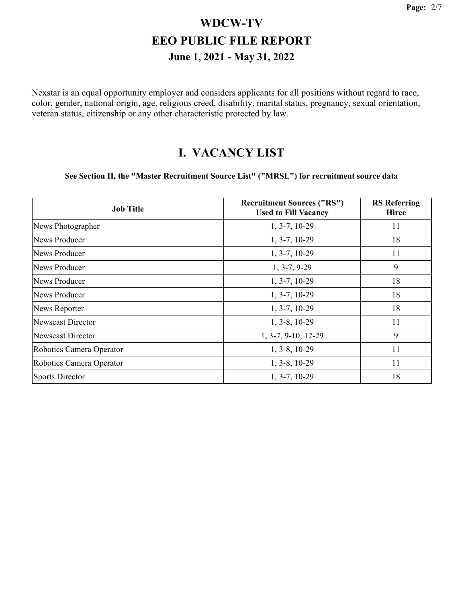Nexstar is an equal opportunity employer and considers applicants for all positions without regard to race, color, gender, national origin, age, religious creed, disability, marital status, pregnancy, sexual orientation, veteran status, citizenship or any other characteristic protected by law.

#### **I. VACANCY LIST**

#### **See Section II, the "Master Recruitment Source List" ("MRSL") for recruitment source data**

| <b>Job Title</b>         | <b>Recruitment Sources ("RS")</b><br><b>Used to Fill Vacancy</b> | <b>RS</b> Referring<br><b>Hiree</b> |
|--------------------------|------------------------------------------------------------------|-------------------------------------|
| News Photographer        | $1, 3-7, 10-29$                                                  | 11                                  |
| News Producer            | $1, 3-7, 10-29$                                                  | 18                                  |
| <b>News Producer</b>     | $1, 3-7, 10-29$                                                  | 11                                  |
| <b>News Producer</b>     | $1, 3-7, 9-29$                                                   | 9                                   |
| News Producer            | $1, 3-7, 10-29$                                                  | 18                                  |
| News Producer            | $1, 3-7, 10-29$                                                  | 18                                  |
| News Reporter            | $1, 3-7, 10-29$                                                  | 18                                  |
| Newscast Director        | $1, 3-8, 10-29$                                                  | 11                                  |
| Newscast Director        | 1, 3-7, 9-10, 12-29                                              | 9                                   |
| Robotics Camera Operator | $1, 3-8, 10-29$                                                  | 11                                  |
| Robotics Camera Operator | $1, 3-8, 10-29$                                                  | 11                                  |
| <b>Sports Director</b>   | $1, 3-7, 10-29$                                                  | 18                                  |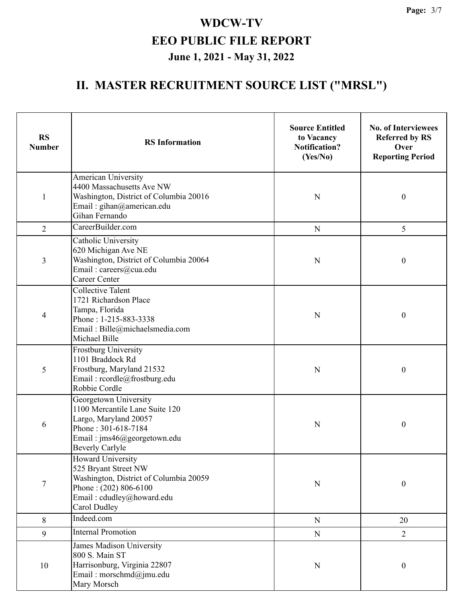| <b>RS</b><br><b>Number</b> | <b>RS</b> Information                                                                                                                                            | <b>Source Entitled</b><br>to Vacancy<br><b>Notification?</b><br>(Yes/No) | <b>No. of Interviewees</b><br><b>Referred by RS</b><br>Over<br><b>Reporting Period</b> |
|----------------------------|------------------------------------------------------------------------------------------------------------------------------------------------------------------|--------------------------------------------------------------------------|----------------------------------------------------------------------------------------|
| $\mathbf{1}$               | American University<br>4400 Massachusetts Ave NW<br>Washington, District of Columbia 20016<br>Email: gihan@american.edu<br>Gihan Fernando                        | N                                                                        | $\boldsymbol{0}$                                                                       |
| $\overline{2}$             | CareerBuilder.com                                                                                                                                                | ${\bf N}$                                                                | 5                                                                                      |
| 3                          | Catholic University<br>620 Michigan Ave NE<br>Washington, District of Columbia 20064<br>Email: careers@cua.edu<br><b>Career Center</b>                           | N                                                                        | $\boldsymbol{0}$                                                                       |
| 4                          | <b>Collective Talent</b><br>1721 Richardson Place<br>Tampa, Florida<br>Phone: 1-215-883-3338<br>Email: Bille@michaelsmedia.com<br>Michael Bille                  | N                                                                        | $\boldsymbol{0}$                                                                       |
| 5                          | <b>Frostburg University</b><br>1101 Braddock Rd<br>Frostburg, Maryland 21532<br>Email: rcordle@frostburg.edu<br>Robbie Cordle                                    | N                                                                        | $\boldsymbol{0}$                                                                       |
| 6                          | Georgetown University<br>1100 Mercantile Lane Suite 120<br>Largo, Maryland 20057<br>Phone: 301-618-7184<br>Email: jms46@georgetown.edu<br><b>Beverly Carlyle</b> | N                                                                        | $\boldsymbol{0}$                                                                       |
| $\tau$                     | Howard University<br>525 Bryant Street NW<br>Washington, District of Columbia 20059<br>Phone: $(202) 806-6100$<br>Email: cdudley@howard.edu<br>Carol Dudley      | $\mathbf N$                                                              | $\boldsymbol{0}$                                                                       |
| 8                          | Indeed.com                                                                                                                                                       | ${\bf N}$                                                                | 20                                                                                     |
| 9                          | Internal Promotion                                                                                                                                               | ${\bf N}$                                                                | $\overline{2}$                                                                         |
| 10                         | James Madison University<br>800 S. Main ST<br>Harrisonburg, Virginia 22807<br>Email: morschmd@jmu.edu<br>Mary Morsch                                             | N                                                                        | $\boldsymbol{0}$                                                                       |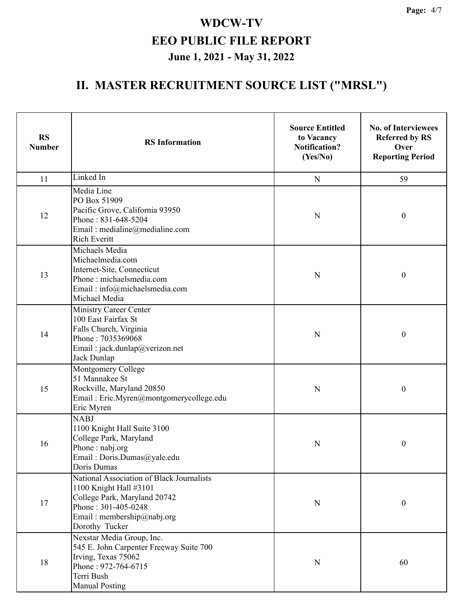| <b>RS</b><br><b>Number</b> | <b>RS</b> Information                                                                                                                                                      | <b>Source Entitled</b><br>to Vacancy<br><b>Notification?</b><br>(Yes/No) | <b>No. of Interviewees</b><br><b>Referred by RS</b><br>Over<br><b>Reporting Period</b> |
|----------------------------|----------------------------------------------------------------------------------------------------------------------------------------------------------------------------|--------------------------------------------------------------------------|----------------------------------------------------------------------------------------|
| 11                         | Linked In                                                                                                                                                                  | $\mathbf N$                                                              | 59                                                                                     |
| 12                         | Media Line<br>PO Box 51909<br>Pacific Grove, California 93950<br>Phone: 831-648-5204<br>Email: medialine@medialine.com<br><b>Rich Everitt</b>                              | N                                                                        | $\boldsymbol{0}$                                                                       |
| 13                         | Michaels Media<br>Michaelmedia.com<br>Internet-Site, Connecticut<br>Phone: michaelsmedia.com<br>Email: info@michaelsmedia.com<br>Michael Media                             | N                                                                        | $\boldsymbol{0}$                                                                       |
| 14                         | Ministry Career Center<br>100 East Fairfax St<br>Falls Church, Virginia<br>Phone: 7035369068<br>Email: jack.dunlap@verizon.net<br>Jack Dunlap                              | $\mathbf N$                                                              | $\boldsymbol{0}$                                                                       |
| 15                         | Montgomery College<br>51 Mannakee St<br>Rockville, Maryland 20850<br>Email: Eric.Myren@montgomerycollege.edu<br>Eric Myren                                                 | N                                                                        | $\boldsymbol{0}$                                                                       |
| 16                         | <b>NABJ</b><br>1100 Knight Hall Suite 3100<br>College Park, Maryland<br>Phone: nabj.org<br>Email: Doris.Dumas@yale.edu<br>Doris Dumas                                      | N                                                                        | $\boldsymbol{0}$                                                                       |
| 17                         | National Association of Black Journalists<br>1100 Knight Hall #3101<br>College Park, Maryland 20742<br>Phone: 301-405-0248<br>Email: membership@nabj.org<br>Dorothy Tucker | N                                                                        | $\boldsymbol{0}$                                                                       |
| 18                         | Nexstar Media Group, Inc.<br>545 E. John Carpenter Freeway Suite 700<br>Irving, Texas 75062<br>Phone: 972-764-6715<br>Terri Bush<br><b>Manual Posting</b>                  | N                                                                        | 60                                                                                     |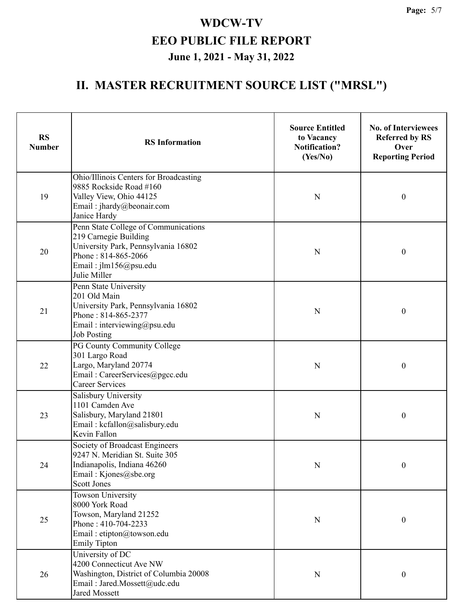| <b>RS</b><br><b>Number</b> | <b>RS</b> Information                                                                                                                                                | <b>Source Entitled</b><br>to Vacancy<br><b>Notification?</b><br>(Yes/No) | <b>No. of Interviewees</b><br><b>Referred by RS</b><br>Over<br><b>Reporting Period</b> |
|----------------------------|----------------------------------------------------------------------------------------------------------------------------------------------------------------------|--------------------------------------------------------------------------|----------------------------------------------------------------------------------------|
| 19                         | Ohio/Illinois Centers for Broadcasting<br>9885 Rockside Road #160<br>Valley View, Ohio 44125<br>Email: jhardy@beonair.com<br>Janice Hardy                            | N                                                                        | $\boldsymbol{0}$                                                                       |
| 20                         | Penn State College of Communications<br>219 Carnegie Building<br>University Park, Pennsylvania 16802<br>Phone: 814-865-2066<br>Email: jlm156@psu.edu<br>Julie Miller | N                                                                        | $\boldsymbol{0}$                                                                       |
| 21                         | Penn State University<br>201 Old Main<br>University Park, Pennsylvania 16802<br>Phone: 814-865-2377<br>Email: interviewing@psu.edu<br><b>Job Posting</b>             | N                                                                        | $\boldsymbol{0}$                                                                       |
| 22                         | PG County Community College<br>301 Largo Road<br>Largo, Maryland 20774<br>Email: CareerServices@pgcc.edu<br><b>Career Services</b>                                   | N                                                                        | $\boldsymbol{0}$                                                                       |
| 23                         | Salisbury University<br>1101 Camden Ave<br>Salisbury, Maryland 21801<br>Email: kcfallon@salisbury.edu<br>Kevin Fallon                                                | N                                                                        | $\boldsymbol{0}$                                                                       |
| 24                         | Society of Broadcast Engineers<br>9247 N. Meridian St. Suite 305<br>Indianapolis, Indiana 46260<br>Email: Kjones@sbe.org<br><b>Scott Jones</b>                       | N                                                                        | 0                                                                                      |
| 25                         | <b>Towson University</b><br>8000 York Road<br>Towson, Maryland 21252<br>Phone: 410-704-2233<br>Email: etipton@towson.edu<br><b>Emily Tipton</b>                      | ${\bf N}$                                                                | $\boldsymbol{0}$                                                                       |
| 26                         | University of DC<br>4200 Connecticut Ave NW<br>Washington, District of Columbia 20008<br>Email: Jared.Mossett@udc.edu<br><b>Jared Mossett</b>                        | $\mathbf N$                                                              | $\boldsymbol{0}$                                                                       |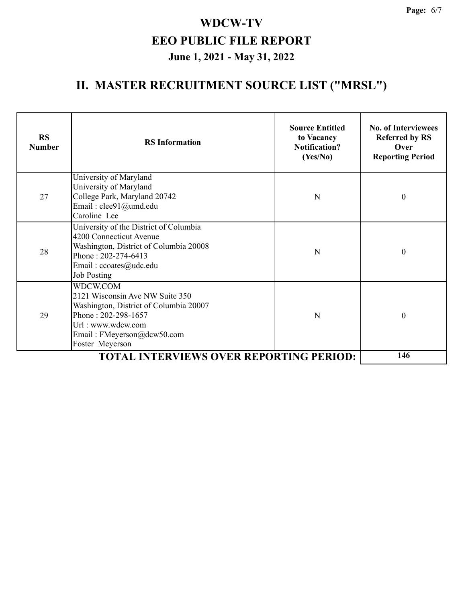| <b>RS</b><br><b>Number</b>                     | <b>RS</b> Information                                                                                                                                                              | <b>Source Entitled</b><br>to Vacancy<br><b>Notification?</b><br>(Yes/No) | <b>No. of Interviewees</b><br><b>Referred by RS</b><br>Over<br><b>Reporting Period</b> |
|------------------------------------------------|------------------------------------------------------------------------------------------------------------------------------------------------------------------------------------|--------------------------------------------------------------------------|----------------------------------------------------------------------------------------|
| 27                                             | University of Maryland<br>University of Maryland<br>College Park, Maryland 20742<br>Email: clee91@umd.edu<br>Caroline Lee                                                          | N                                                                        | $\boldsymbol{0}$                                                                       |
| 28                                             | University of the District of Columbia<br>4200 Connecticut Avenue<br>Washington, District of Columbia 20008<br>Phone: 202-274-6413<br>Email: ccoates@udc.edu<br><b>Job Posting</b> | N                                                                        | $\boldsymbol{0}$                                                                       |
| 29                                             | WDCW.COM<br>2121 Wisconsin Ave NW Suite 350<br>Washington, District of Columbia 20007<br>Phone: 202-298-1657<br>Url: www.wdcw.com<br>Email: FMeyerson@dcw50.com<br>Foster Meyerson | N                                                                        | $\boldsymbol{0}$                                                                       |
| <b>TOTAL INTERVIEWS OVER REPORTING PERIOD:</b> |                                                                                                                                                                                    |                                                                          | 146                                                                                    |